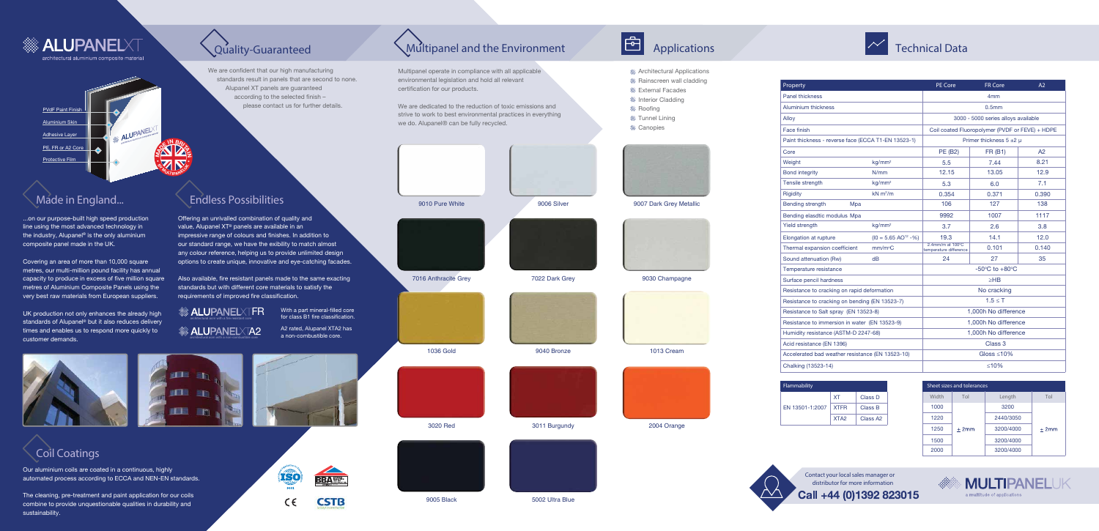

# **ALUPANELXT**

architectural aluminium composite material

## PVdF Paint Finish Aluminium Skin **ALUPANEL** Adhesive Layer **<sup>M</sup>AD<sup>E</sup> <sup>I</sup><sup>N</sup> <sup>B</sup>RITA<sup>I</sup><sup>N</sup>** PE, FR or A2 Core Protective Film **• B**

**Contact your localsales manager or distributor for more information** Call +44 (0)1392 823015



## **Made in England... Endless Possibilities**



Multipanel operate in compliance with all applicable environmental legislation and hold all relevant certification for our products.



- **Architectural Applications**
- **Rainscreen wall cladding**
- **S** External Facades
- **Interior Cladding**
- **Roofing**
- **S** Tunnel Lining
- **&** Canopies



























3020 Red 3011 Burgundy 2004 Orange







We are dedicated to the reduction of toxic emissions and strive to work to best environmental practices in everything we do. Alupanel® can be fully recycled.





9010 Pure White 9006 Silver 9006 Silver 9007 Dark Grey Metallic



...on our purpose-built high speed production line using the most advanced technology in the industry, Alupanel® is the only aluminium composite panel made in the UK.

Covering an area of more than 10,000 square metres, our multi-million pound facility has annual capacity to produce in excess of five million square metres of Aluminium Composite Panels using the very best raw materials from European suppliers.

We are confident that our high manufacturing standards result in panels that are second to none. Alupanel XT panels are guaranteed according to the selected finish please contact us for further details.

UK production not only enhances the already high standards of Alupanel<sup>®</sup> but it also reduces delivery times and enables us to respond more quickly to customer demands.

Offering an unrivalled combination of quality and value, Alupanel XT® panels are available in an impressive range of colours and finishes. In addition to our standard range, we have the exibility to match almost any colour reference, helping us to provide unlimited design options to create unique, innovative and eye-catching facades.

Also available, fire resistant panels made to the same exacting standards but with different core materials to satisfy the requirements of improved fire classification.

Our aluminium coils are coated in a continuous, highly automated process according to ECCA and NEN-EN standards.

The cleaning, pre-treatment and paint application for our coils combine to provide unquestionable qualities in durability and sustainability.







| Property                                            |                                   | PE Core                                              | <b>FR Core</b>  | A2    |
|-----------------------------------------------------|-----------------------------------|------------------------------------------------------|-----------------|-------|
| <b>Panel thickness</b>                              |                                   |                                                      | 4 <sub>mm</sub> |       |
| <b>Aluminium thickness</b>                          |                                   | 0.5 <sub>mm</sub>                                    |                 |       |
| Alloy                                               |                                   | 3000 - 5000 series alloys available                  |                 |       |
| Face finish                                         |                                   | Coil coated Fluoropolymer (PVDF or FEVE) + HDPE      |                 |       |
| Paint thickness - reverse face (ECCA T1-EN 13523-1) |                                   | Primer thickness $5 \pm 2 \mu$                       |                 |       |
| Core                                                |                                   | PE (B2)                                              | <b>FR (B1)</b>  | A2    |
| Weight                                              | kg/mm <sup>2</sup>                | 5.5                                                  | 7.44            | 8.21  |
| <b>Bond integrity</b>                               | N/mm                              | 12.15                                                | 13.05           | 12.9  |
| Tensile strength                                    | kg/mm <sup>2</sup>                | 5.3                                                  | 6.0             | 7.1   |
| <b>Rigidity</b>                                     | $kN$ m <sup>2</sup> /m            | 0.354                                                | 0.371           | 0.390 |
| Bending strength<br>Mpa                             |                                   | 106                                                  | 127             | 138   |
| Bending elasdtic modulus Mpa                        |                                   | 9992                                                 | 1007            | 1117  |
| <b>Yield strength</b>                               | kg/mm <sup>2</sup>                | 3.7                                                  | 2.6             | 3.8   |
| Elongation at rupture                               | $(10 = 5.65 \text{ AO}^{12} - %)$ | 19.3                                                 | 14.1            | 12.0  |
| Thermal expansion coefficient                       | mm/m <sup>°</sup> C               | 2.4mm/m at $100^{\circ}$ C<br>temperature difference | 0.101           | 0.140 |
| Sound attenuation (Rw)                              | dВ                                | 24                                                   | 27              | 35    |
| Temperature resistance                              |                                   | $-50^{\circ}$ C to $+80^{\circ}$ C                   |                 |       |
| Surface pencil hardness                             |                                   | $\geq$ HB                                            |                 |       |
| Resistance to cracking on rapid deformation         |                                   | No cracking                                          |                 |       |
| Resistance to cracking on bending (EN 13523-7)      |                                   | $1.5 \leq T$                                         |                 |       |
| Resistance to Salt spray (EN 13523-8)               |                                   | 1,000h No difference                                 |                 |       |
| Resistance to immersion in water (EN 13523-9)       |                                   | 1,000h No difference                                 |                 |       |
| Humidity resistance (ASTM-D 2247-68)                |                                   | 1,000h No difference                                 |                 |       |
| Acid resistance (EN 1396)                           |                                   | Class 3                                              |                 |       |
| Accelerated bad weather resistance (EN 13523-10)    |                                   | Gloss $\leq 10\%$                                    |                 |       |
| Chalking (13523-14)                                 |                                   | ≤10%                                                 |                 |       |

| Flammability    |                  |                      |  |  |
|-----------------|------------------|----------------------|--|--|
| FN 13501-1:2007 | <b>XT</b>        | Class D              |  |  |
|                 | <b>XTFR</b>      | Class B              |  |  |
|                 | XTA <sub>2</sub> | Class A <sub>2</sub> |  |  |



A2 rated, Alupanel XTA2 has a non-combustible core.

> **Sheet sizes and tolerances Width Tol Length Tol** 1000 3200 1220 2440/3050 1250  $±2mm$  $\pm 2$ mm 3200/4000 1500 3200/4000 2000 3200/4000



With a part mineral-filled core for class B1 fire classification.